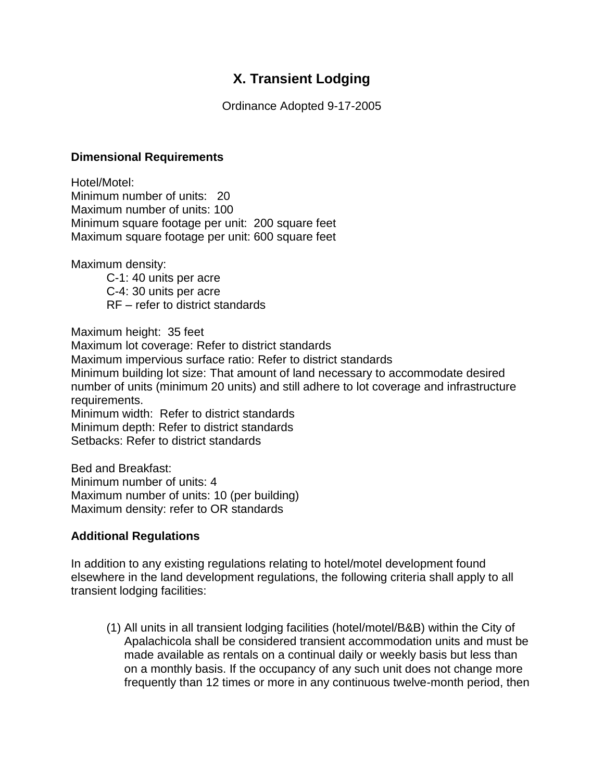## **X. Transient Lodging**

Ordinance Adopted 9-17-2005

## **Dimensional Requirements**

Hotel/Motel: Minimum number of units: 20 Maximum number of units: 100 Minimum square footage per unit: 200 square feet Maximum square footage per unit: 600 square feet

Maximum density:

C-1: 40 units per acre C-4: 30 units per acre RF – refer to district standards

Maximum height: 35 feet

Maximum lot coverage: Refer to district standards Maximum impervious surface ratio: Refer to district standards

Minimum building lot size: That amount of land necessary to accommodate desired number of units (minimum 20 units) and still adhere to lot coverage and infrastructure requirements.

Minimum width: Refer to district standards Minimum depth: Refer to district standards Setbacks: Refer to district standards

Bed and Breakfast: Minimum number of units: 4 Maximum number of units: 10 (per building) Maximum density: refer to OR standards

## **Additional Regulations**

In addition to any existing regulations relating to hotel/motel development found elsewhere in the land development regulations, the following criteria shall apply to all transient lodging facilities:

(1) All units in all transient lodging facilities (hotel/motel/B&B) within the City of Apalachicola shall be considered transient accommodation units and must be made available as rentals on a continual daily or weekly basis but less than on a monthly basis. If the occupancy of any such unit does not change more frequently than 12 times or more in any continuous twelve-month period, then